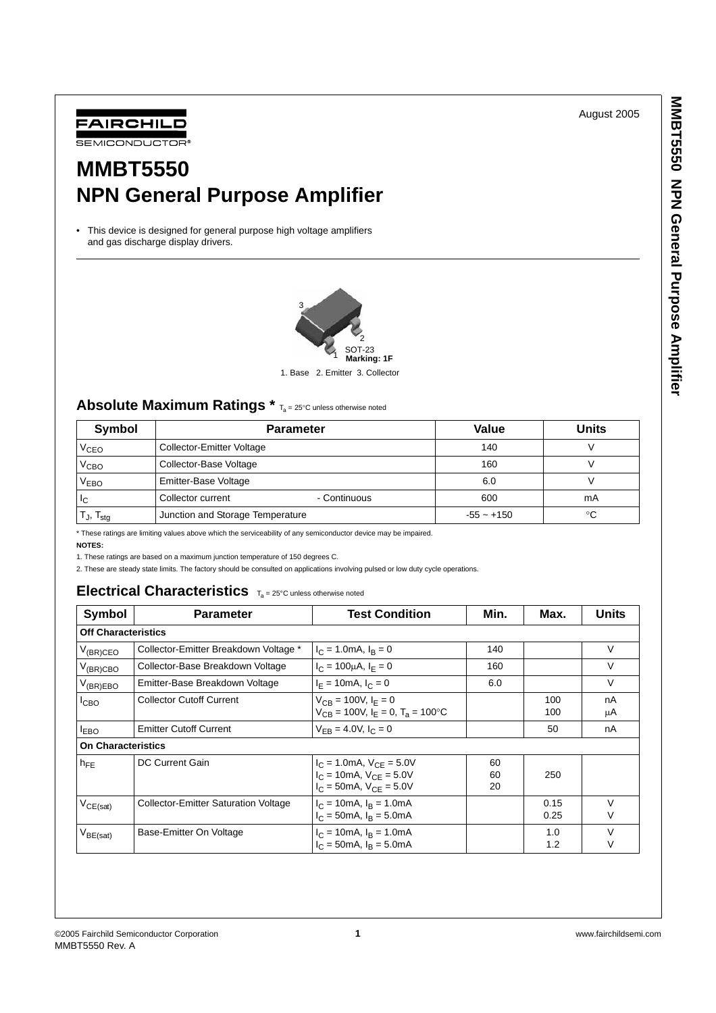August 2005



# **MMBT5550 NPN General Purpose Amplifier**

• This device is designed for general purpose high voltage amplifiers and gas discharge display drivers.



1. Base 2. Emitter 3. Collector

### Absolute Maximum Ratings \* T<sub>a</sub> = 25°C unless otherwise noted

| Symbol               | <b>Parameter</b>                  | Value        | Units |
|----------------------|-----------------------------------|--------------|-------|
| V <sub>CEO</sub>     | <b>Collector-Emitter Voltage</b>  | 140          |       |
| $V_{\text{CBO}}$     | Collector-Base Voltage            | 160          |       |
| V <sub>EBO</sub>     | Emitter-Base Voltage              | 6.0          |       |
| IС                   | - Continuous<br>Collector current | 600          | mA    |
| Tյ, T <sub>stg</sub> | Junction and Storage Temperature  | $-55 - +150$ | °C    |

\* These ratings are limiting values above which the serviceability of any semiconductor device may be impaired.

**NOTES:**

1. These ratings are based on a maximum junction temperature of 150 degrees C.

2. These are steady state limits. The factory should be consulted on applications involving pulsed or low duty cycle operations.

### **Electrical Characteristics** Ta = 25°C unless otherwise noted

| Symbol                                                       | <b>Parameter</b>                      | <b>Test Condition</b>                                                                                                             | Min. | Max.         | <b>Units</b> |  |
|--------------------------------------------------------------|---------------------------------------|-----------------------------------------------------------------------------------------------------------------------------------|------|--------------|--------------|--|
|                                                              | <b>Off Characteristics</b>            |                                                                                                                                   |      |              |              |  |
| $V_{(BR)CEO}$                                                | Collector-Emitter Breakdown Voltage * | $I_C = 1.0 \text{mA}, I_B = 0$                                                                                                    | 140  |              | V            |  |
| $V_{(BR)CBO}$                                                | Collector-Base Breakdown Voltage      | $I_C = 100 \mu A$ , $I_F = 0$                                                                                                     | 160  |              | V            |  |
| $V_{(BR)EBO}$                                                | Emitter-Base Breakdown Voltage        | $I_F = 10 \text{mA}, I_C = 0$                                                                                                     | 6.0  |              | V            |  |
| I <sub>CBO</sub>                                             | <b>Collector Cutoff Current</b>       | $V_{CB} = 100V, I_F = 0$<br>$V_{CB}$ = 100V, $I_F$ = 0, $T_A$ = 100°C                                                             |      | 100<br>100   | nA<br>μA     |  |
| <b>LEBO</b>                                                  | <b>Emitter Cutoff Current</b>         | $V_{EB} = 4.0 V, I_C = 0$                                                                                                         |      | 50           | nA           |  |
| <b>On Characteristics</b>                                    |                                       |                                                                                                                                   |      |              |              |  |
| DC Current Gain<br>$h_{FE}$                                  |                                       | $I_C = 1.0 \text{mA}, V_{CE} = 5.0 V$<br>60<br>$I_C = 10 \text{mA}, V_{CE} = 5.0 V$<br>60<br>$I_C = 50$ mA, $V_{CF} = 5.0V$<br>20 |      | 250          |              |  |
| <b>Collector-Emitter Saturation Voltage</b><br>$V_{CE(sat)}$ |                                       | $I_C = 10 \text{mA}$ , $I_B = 1.0 \text{mA}$<br>$I_C = 50 \text{mA}$ , $I_R = 5.0 \text{mA}$                                      |      | 0.15<br>0.25 | $\vee$<br>٧  |  |
| $V_{BE(sat)}$                                                | Base-Emitter On Voltage               | $I_C = 10 \text{mA}$ , $I_R = 1.0 \text{mA}$<br>$I_C = 50 \text{mA}$ , $I_B = 5.0 \text{mA}$                                      |      | 1.0<br>1.2   | $\vee$<br>ν  |  |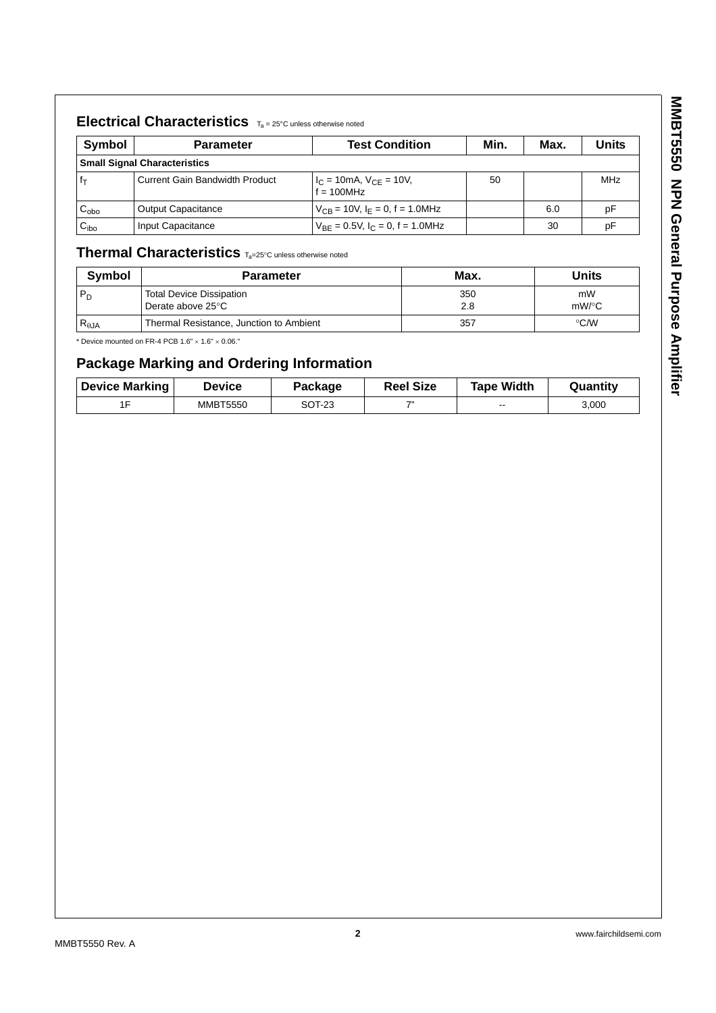## **Electrical Characteristics** Ta = 25°C unless otherwise noted

| Symbol             | <b>Parameter</b>                    | <b>Test Condition</b>                               | Min. | Max. | <b>Units</b> |  |
|--------------------|-------------------------------------|-----------------------------------------------------|------|------|--------------|--|
|                    | <b>Small Signal Characteristics</b> |                                                     |      |      |              |  |
|                    | Current Gain Bandwidth Product      | $I_C = 10 \text{mA}, V_{CE} = 10V,$<br>$f = 100MHz$ | 50   |      | MHz          |  |
| $\mathtt{C_{obo}}$ | <b>Output Capacitance</b>           | $V_{CB}$ = 10V, $I_E$ = 0, f = 1.0MHz               |      | 6.0  | pF           |  |
| $\mathrm{C_{ibo}}$ | Input Capacitance                   | $V_{BE} = 0.5V$ , $I_C = 0$ , f = 1.0MHz            |      | 30   | рF           |  |

### **Thermal Characteristics** Ta=25°C unless otherwise noted

| Symbol         | <b>Parameter</b>                                     | Max.       | Units          |
|----------------|------------------------------------------------------|------------|----------------|
| $P_D$          | <b>Total Device Dissipation</b><br>Derate above 25°C | 350<br>2.8 | mW<br>$mW$ /°C |
| $R_{\theta$ JA | Thermal Resistance, Junction to Ambient              | 357        | $\degree$ C/W  |

 $*$  Device mounted on FR-4 PCB 1.6"  $\times$  1.6"  $\times$  0.06."

## **Package Marking and Ordering Information**

| <b>Device Marking</b> | <b>Device</b>   | Package | <b>Reel Size</b> | <b>Tape Width</b> | Quantity |
|-----------------------|-----------------|---------|------------------|-------------------|----------|
| 1 D                   | <b>MMBT5550</b> | SOT-23  | $\rightarrow$    | --                | 3,000    |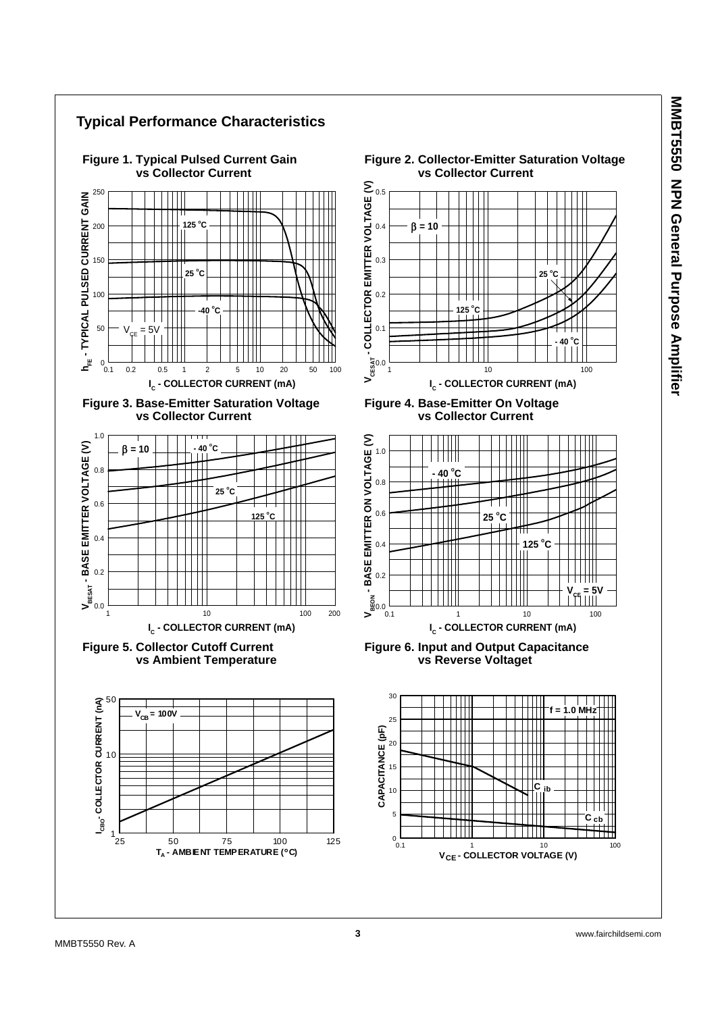MMBT550 NPN General Purpose Amplitie **MMBT5550 NPN General Purpose Amplifier**

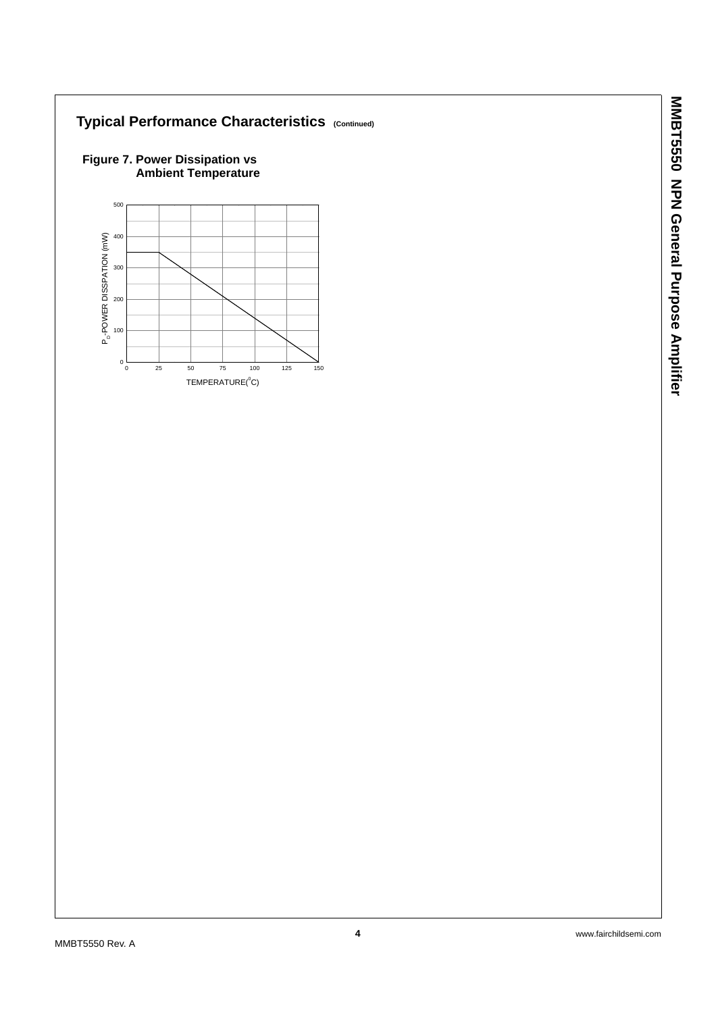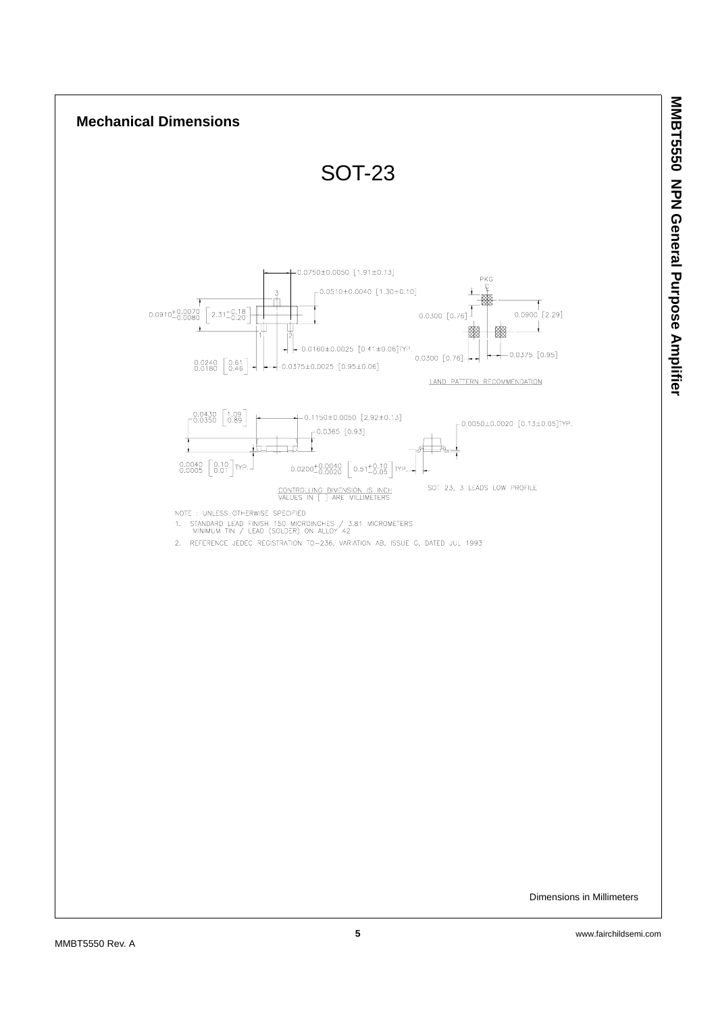